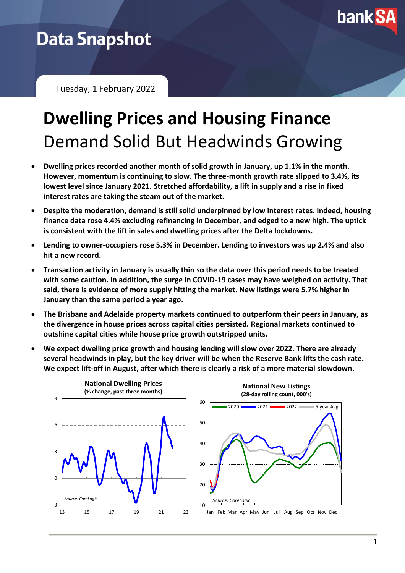

# **Data Snapshot**

Tuesday, 1 February 2022

# **Dwelling Prices and Housing Finance** Demand Solid But Headwinds Growing

- **Dwelling prices recorded another month of solid growth in January, up 1.1% in the month. However, momentum is continuing to slow. The three-month growth rate slipped to 3.4%, its lowest level since January 2021. Stretched affordability, a lift in supply and a rise in fixed interest rates are taking the steam out of the market.**
- **Despite the moderation, demand is still solid underpinned by low interest rates. Indeed, housing finance data rose 4.4% excluding refinancing in December, and edged to a new high. The uptick is consistent with the lift in sales and dwelling prices after the Delta lockdowns.**
- **Lending to owner-occupiers rose 5.3% in December. Lending to investors was up 2.4% and also hit a new record.**
- **Transaction activity in January is usually thin so the data over this period needs to be treated with some caution. In addition, the surge in COVID-19 cases may have weighed on activity. That said, there is evidence of more supply hitting the market. New listings were 5.7% higher in January than the same period a year ago.**
- **The Brisbane and Adelaide property markets continued to outperform their peers in January, as the divergence in house prices across capital cities persisted. Regional markets continued to outshine capital cities while house price growth outstripped units.**
- **We expect dwelling price growth and housing lending will slow over 2022. There are already several headwinds in play, but the key driver will be when the Reserve Bank lifts the cash rate. We expect lift-off in August, after which there is clearly a risk of a more material slowdown.**



10 20 30 40 50 60 Jan Feb Mar Apr May Jun Jul Aug Sep Oct Nov Dec **National New Listings (28-day rolling count, 000's)** 2020 2021 2022 5-year Avg *Source: CoreLogic*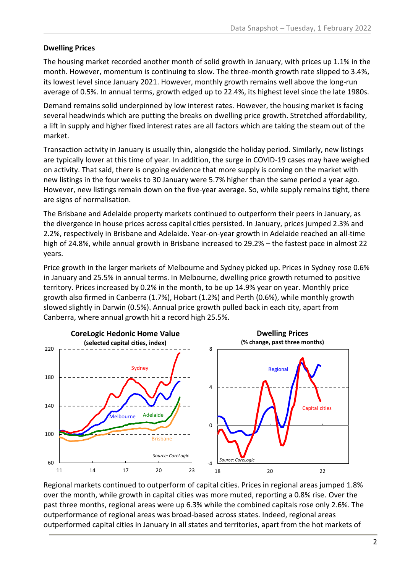### **Dwelling Prices**

The housing market recorded another month of solid growth in January, with prices up 1.1% in the month. However, momentum is continuing to slow. The three-month growth rate slipped to 3.4%, its lowest level since January 2021. However, monthly growth remains well above the long-run average of 0.5%. In annual terms, growth edged up to 22.4%, its highest level since the late 1980s.

Demand remains solid underpinned by low interest rates. However, the housing market is facing several headwinds which are putting the breaks on dwelling price growth. Stretched affordability, a lift in supply and higher fixed interest rates are all factors which are taking the steam out of the market.

Transaction activity in January is usually thin, alongside the holiday period. Similarly, new listings are typically lower at this time of year. In addition, the surge in COVID-19 cases may have weighed on activity. That said, there is ongoing evidence that more supply is coming on the market with new listings in the four weeks to 30 January were 5.7% higher than the same period a year ago. However, new listings remain down on the five-year average. So, while supply remains tight, there are signs of normalisation.

The Brisbane and Adelaide property markets continued to outperform their peers in January, as the divergence in house prices across capital cities persisted. In January, prices jumped 2.3% and 2.2%, respectively in Brisbane and Adelaide. Year-on-year growth in Adelaide reached an all-time high of 24.8%, while annual growth in Brisbane increased to 29.2% – the fastest pace in almost 22 years.

Price growth in the larger markets of Melbourne and Sydney picked up. Prices in Sydney rose 0.6% in January and 25.5% in annual terms. In Melbourne, dwelling price growth returned to positive territory. Prices increased by 0.2% in the month, to be up 14.9% year on year. Monthly price growth also firmed in Canberra (1.7%), Hobart (1.2%) and Perth (0.6%), while monthly growth slowed slightly in Darwin (0.5%). Annual price growth pulled back in each city, apart from Canberra, where annual growth hit a record high 25.5%.



Regional markets continued to outperform of capital cities. Prices in regional areas jumped 1.8% over the month, while growth in capital cities was more muted, reporting a 0.8% rise. Over the past three months, regional areas were up 6.3% while the combined capitals rose only 2.6%. The outperformance of regional areas was broad-based across states. Indeed, regional areas outperformed capital cities in January in all states and territories, apart from the hot markets of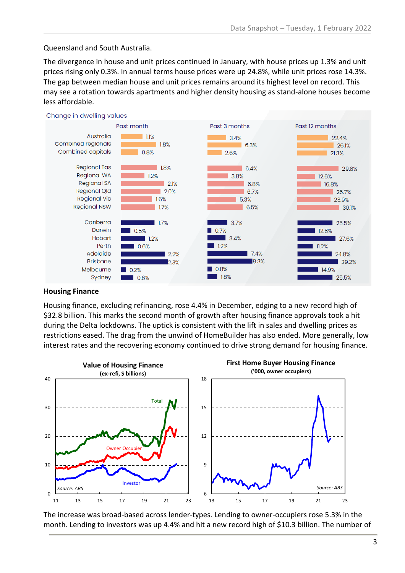## Queensland and South Australia.

The divergence in house and unit prices continued in January, with house prices up 1.3% and unit prices rising only 0.3%. In annual terms house prices were up 24.8%, while unit prices rose 14.3%. The gap between median house and unit prices remains around its highest level on record. This may see a rotation towards apartments and higher density housing as stand-alone houses become less affordable.



#### Change in dwelling values

### **Housing Finance**

Housing finance, excluding refinancing, rose 4.4% in December, edging to a new record high of \$32.8 billion. This marks the second month of growth after housing finance approvals took a hit during the Delta lockdowns. The uptick is consistent with the lift in sales and dwelling prices as restrictions eased. The drag from the unwind of HomeBuilder has also ended. More generally, low interest rates and the recovering economy continued to drive strong demand for housing finance.



The increase was broad-based across lender-types. Lending to owner-occupiers rose 5.3% in the month. Lending to investors was up 4.4% and hit a new record high of \$10.3 billion. The number of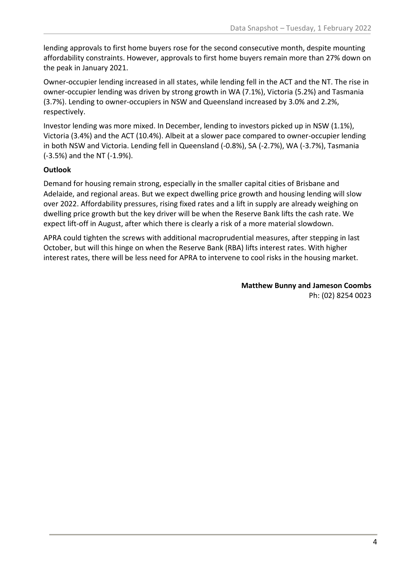lending approvals to first home buyers rose for the second consecutive month, despite mounting affordability constraints. However, approvals to first home buyers remain more than 27% down on the peak in January 2021.

Owner-occupier lending increased in all states, while lending fell in the ACT and the NT. The rise in owner-occupier lending was driven by strong growth in WA (7.1%), Victoria (5.2%) and Tasmania (3.7%). Lending to owner-occupiers in NSW and Queensland increased by 3.0% and 2.2%, respectively.

Investor lending was more mixed. In December, lending to investors picked up in NSW (1.1%), Victoria (3.4%) and the ACT (10.4%). Albeit at a slower pace compared to owner-occupier lending in both NSW and Victoria. Lending fell in Queensland (-0.8%), SA (-2.7%), WA (-3.7%), Tasmania (-3.5%) and the NT (-1.9%).

# **Outlook**

Demand for housing remain strong, especially in the smaller capital cities of Brisbane and Adelaide, and regional areas. But we expect dwelling price growth and housing lending will slow over 2022. Affordability pressures, rising fixed rates and a lift in supply are already weighing on dwelling price growth but the key driver will be when the Reserve Bank lifts the cash rate. We expect lift-off in August, after which there is clearly a risk of a more material slowdown.

APRA could tighten the screws with additional macroprudential measures, after stepping in last October, but will this hinge on when the Reserve Bank (RBA) lifts interest rates. With higher interest rates, there will be less need for APRA to intervene to cool risks in the housing market.

> **Matthew Bunny and Jameson Coombs** Ph: (02) 8254 0023